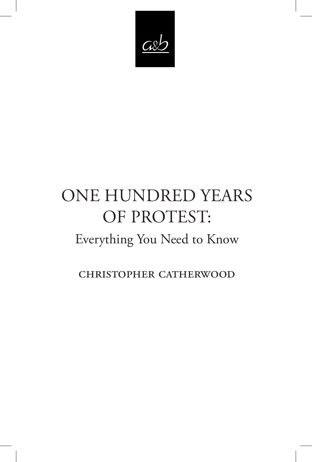

# One Hundred Years OF PROTEST: Everything You Need to Know

christopher catherwood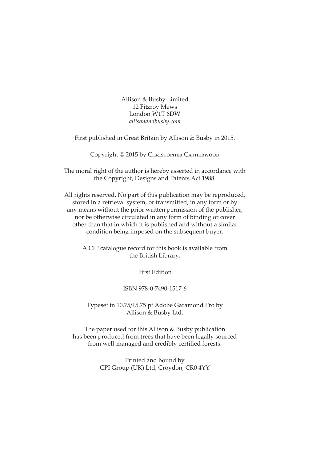Allison & Busby Limited 12 Fitzroy Mews London W1T 6DW *allisonandbusby.com*

First published in Great Britain by Allison & Busby in 2015.

Copyright © 2015 by Christopher Catherwood

The moral right of the author is hereby asserted in accordance with the Copyright, Designs and Patents Act 1988.

All rights reserved. No part of this publication may be reproduced, stored in a retrieval system, or transmitted, in any form or by any means without the prior written permission of the publisher, nor be otherwise circulated in any form of binding or cover other than that in which it is published and without a similar condition being imposed on the subsequent buyer.

A CIP catalogue record for this book is available from the British Library.

First Edition

#### ISBN 978-0-7490-1517-6

Typeset in 10.75/15.75 pt Adobe Garamond Pro by Allison & Busby Ltd.

The paper used for this Allison & Busby publication has been produced from trees that have been legally sourced from well-managed and credibly certified forests.

> Printed and bound by CPI Group (UK) Ltd, Croydon, CR0 4YY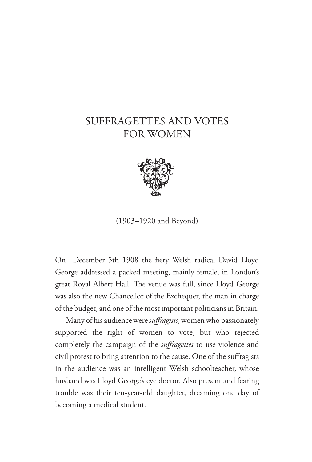## SUFFRAGETTES AND VOTES for Women



(1903–1920 and Beyond)

On December 5th 1908 the fiery Welsh radical David Lloyd George addressed a packed meeting, mainly female, in London's great Royal Albert Hall. The venue was full, since Lloyd George was also the new Chancellor of the Exchequer, the man in charge of the budget, and one of the most important politicians in Britain.

Many of his audience were *suffragists*, women who passionately supported the right of women to vote, but who rejected completely the campaign of the *suffragettes* to use violence and civil protest to bring attention to the cause. One of the suffragists in the audience was an intelligent Welsh schoolteacher, whose husband was Lloyd George's eye doctor. Also present and fearing trouble was their ten-year-old daughter, dreaming one day of becoming a medical student.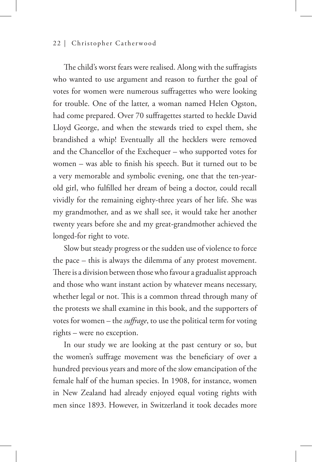The child's worst fears were realised. Along with the suffragists who wanted to use argument and reason to further the goal of votes for women were numerous suffragettes who were looking for trouble. One of the latter, a woman named Helen Ogston, had come prepared. Over 70 suffragettes started to heckle David Lloyd George, and when the stewards tried to expel them, she brandished a whip! Eventually all the hecklers were removed and the Chancellor of the Exchequer – who supported votes for women – was able to finish his speech. But it turned out to be a very memorable and symbolic evening, one that the ten-yearold girl, who fulfilled her dream of being a doctor, could recall vividly for the remaining eighty-three years of her life. She was my grandmother, and as we shall see, it would take her another twenty years before she and my great-grandmother achieved the longed-for right to vote.

Slow but steady progress or the sudden use of violence to force the pace – this is always the dilemma of any protest movement. There is a division between those who favour a gradualist approach and those who want instant action by whatever means necessary, whether legal or not. This is a common thread through many of the protests we shall examine in this book, and the supporters of votes for women – the *suffrage*, to use the political term for voting rights – were no exception.

In our study we are looking at the past century or so, but the women's suffrage movement was the beneficiary of over a hundred previous years and more of the slow emancipation of the female half of the human species. In 1908, for instance, women in New Zealand had already enjoyed equal voting rights with men since 1893. However, in Switzerland it took decades more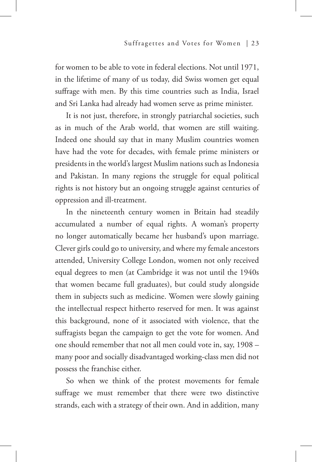for women to be able to vote in federal elections. Not until 1971, in the lifetime of many of us today, did Swiss women get equal suffrage with men. By this time countries such as India, Israel and Sri Lanka had already had women serve as prime minister.

It is not just, therefore, in strongly patriarchal societies, such as in much of the Arab world, that women are still waiting. Indeed one should say that in many Muslim countries women have had the vote for decades, with female prime ministers or presidents in the world's largest Muslim nations such as Indonesia and Pakistan. In many regions the struggle for equal political rights is not history but an ongoing struggle against centuries of oppression and ill-treatment.

In the nineteenth century women in Britain had steadily accumulated a number of equal rights. A woman's property no longer automatically became her husband's upon marriage. Clever girls could go to university, and where my female ancestors attended, University College London, women not only received equal degrees to men (at Cambridge it was not until the 1940s that women became full graduates), but could study alongside them in subjects such as medicine. Women were slowly gaining the intellectual respect hitherto reserved for men. It was against this background, none of it associated with violence, that the suffragists began the campaign to get the vote for women. And one should remember that not all men could vote in, say, 1908 – many poor and socially disadvantaged working-class men did not possess the franchise either.

So when we think of the protest movements for female suffrage we must remember that there were two distinctive strands, each with a strategy of their own. And in addition, many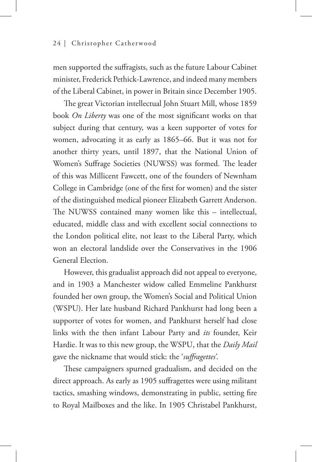men supported the suffragists, such as the future Labour Cabinet minister, Frederick Pethick-Lawrence, and indeed many members of the Liberal Cabinet, in power in Britain since December 1905.

The great Victorian intellectual John Stuart Mill, whose 1859 book *On Liberty* was one of the most significant works on that subject during that century, was a keen supporter of votes for women, advocating it as early as 1865–66. But it was not for another thirty years, until 1897, that the National Union of Women's Suffrage Societies (NUWSS) was formed. The leader of this was Millicent Fawcett, one of the founders of Newnham College in Cambridge (one of the first for women) and the sister of the distinguished medical pioneer Elizabeth Garrett Anderson. The NUWSS contained many women like this – intellectual, educated, middle class and with excellent social connections to the London political elite, not least to the Liberal Party, which won an electoral landslide over the Conservatives in the 1906 General Election.

However, this gradualist approach did not appeal to everyone, and in 1903 a Manchester widow called Emmeline Pankhurst founded her own group, the Women's Social and Political Union (WSPU). Her late husband Richard Pankhurst had long been a supporter of votes for women, and Pankhurst herself had close links with the then infant Labour Party and *its* founder, Keir Hardie. It was to this new group, the WSPU, that the *Daily Mail*  gave the nickname that would stick: the '*suffragettes'*.

These campaigners spurned gradualism, and decided on the direct approach. As early as 1905 suffragettes were using militant tactics, smashing windows, demonstrating in public, setting fire to Royal Mailboxes and the like. In 1905 Christabel Pankhurst,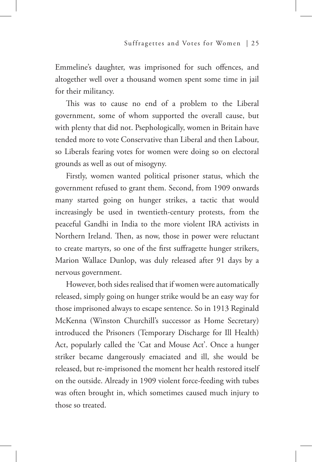Emmeline's daughter, was imprisoned for such offences, and altogether well over a thousand women spent some time in jail for their militancy.

This was to cause no end of a problem to the Liberal government, some of whom supported the overall cause, but with plenty that did not. Psephologically, women in Britain have tended more to vote Conservative than Liberal and then Labour, so Liberals fearing votes for women were doing so on electoral grounds as well as out of misogyny.

Firstly, women wanted political prisoner status, which the government refused to grant them. Second, from 1909 onwards many started going on hunger strikes, a tactic that would increasingly be used in twentieth-century protests, from the peaceful Gandhi in India to the more violent IRA activists in Northern Ireland. Then, as now, those in power were reluctant to create martyrs, so one of the first suffragette hunger strikers, Marion Wallace Dunlop, was duly released after 91 days by a nervous government.

However, both sides realised that if women were automatically released, simply going on hunger strike would be an easy way for those imprisoned always to escape sentence. So in 1913 Reginald McKenna (Winston Churchill's successor as Home Secretary) introduced the Prisoners (Temporary Discharge for Ill Health) Act, popularly called the 'Cat and Mouse Act'. Once a hunger striker became dangerously emaciated and ill, she would be released, but re-imprisoned the moment her health restored itself on the outside. Already in 1909 violent force-feeding with tubes was often brought in, which sometimes caused much injury to those so treated.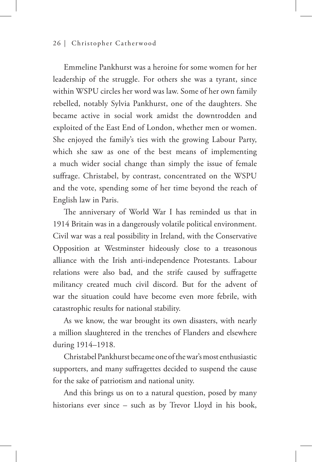Emmeline Pankhurst was a heroine for some women for her leadership of the struggle. For others she was a tyrant, since within WSPU circles her word was law. Some of her own family rebelled, notably Sylvia Pankhurst, one of the daughters. She became active in social work amidst the downtrodden and exploited of the East End of London, whether men or women. She enjoyed the family's ties with the growing Labour Party, which she saw as one of the best means of implementing a much wider social change than simply the issue of female suffrage. Christabel, by contrast, concentrated on the WSPU and the vote, spending some of her time beyond the reach of English law in Paris.

The anniversary of World War I has reminded us that in 1914 Britain was in a dangerously volatile political environment. Civil war was a real possibility in Ireland, with the Conservative Opposition at Westminster hideously close to a treasonous alliance with the Irish anti-independence Protestants. Labour relations were also bad, and the strife caused by suffragette militancy created much civil discord. But for the advent of war the situation could have become even more febrile, with catastrophic results for national stability.

As we know, the war brought its own disasters, with nearly a million slaughtered in the trenches of Flanders and elsewhere during 1914–1918.

Christabel Pankhurst became one of the war's most enthusiastic supporters, and many suffragettes decided to suspend the cause for the sake of patriotism and national unity.

And this brings us on to a natural question, posed by many historians ever since – such as by Trevor Lloyd in his book,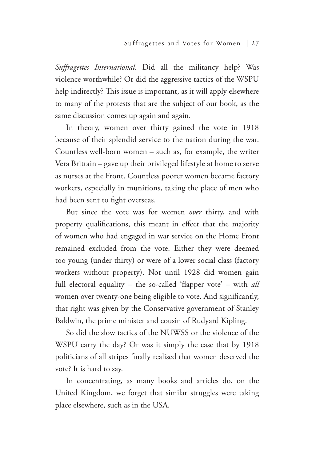*Suffragettes International*. Did all the militancy help? Was violence worthwhile? Or did the aggressive tactics of the WSPU help indirectly? This issue is important, as it will apply elsewhere to many of the protests that are the subject of our book, as the same discussion comes up again and again.

In theory, women over thirty gained the vote in 1918 because of their splendid service to the nation during the war. Countless well-born women – such as, for example, the writer Vera Brittain – gave up their privileged lifestyle at home to serve as nurses at the Front. Countless poorer women became factory workers, especially in munitions, taking the place of men who had been sent to fight overseas.

But since the vote was for women *over* thirty, and with property qualifications, this meant in effect that the majority of women who had engaged in war service on the Home Front remained excluded from the vote. Either they were deemed too young (under thirty) or were of a lower social class (factory workers without property). Not until 1928 did women gain full electoral equality – the so-called 'flapper vote' – with *all*  women over twenty-one being eligible to vote. And significantly, that right was given by the Conservative government of Stanley Baldwin, the prime minister and cousin of Rudyard Kipling.

So did the slow tactics of the NUWSS or the violence of the WSPU carry the day? Or was it simply the case that by 1918 politicians of all stripes finally realised that women deserved the vote? It is hard to say.

In concentrating, as many books and articles do, on the United Kingdom, we forget that similar struggles were taking place elsewhere, such as in the USA.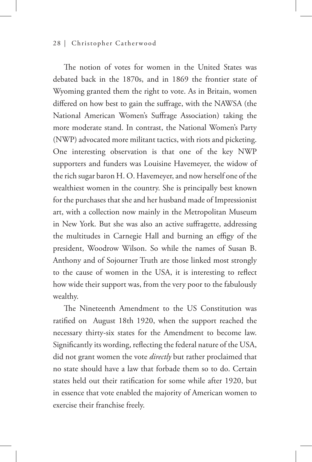The notion of votes for women in the United States was debated back in the 1870s, and in 1869 the frontier state of Wyoming granted them the right to vote. As in Britain, women differed on how best to gain the suffrage, with the NAWSA (the National American Women's Suffrage Association) taking the more moderate stand. In contrast, the National Women's Party (NWP) advocated more militant tactics, with riots and picketing. One interesting observation is that one of the key NWP supporters and funders was Louisine Havemeyer, the widow of the rich sugar baron H. O. Havemeyer, and now herself one of the wealthiest women in the country. She is principally best known for the purchases that she and her husband made of Impressionist art, with a collection now mainly in the Metropolitan Museum in New York. But she was also an active suffragette, addressing the multitudes in Carnegie Hall and burning an effigy of the president, Woodrow Wilson. So while the names of Susan B. Anthony and of Sojourner Truth are those linked most strongly to the cause of women in the USA, it is interesting to reflect how wide their support was, from the very poor to the fabulously wealthy.

The Nineteenth Amendment to the US Constitution was ratified on August 18th 1920, when the support reached the necessary thirty-six states for the Amendment to become law. Significantly its wording, reflecting the federal nature of the USA, did not grant women the vote *directly* but rather proclaimed that no state should have a law that forbade them so to do. Certain states held out their ratification for some while after 1920, but in essence that vote enabled the majority of American women to exercise their franchise freely.